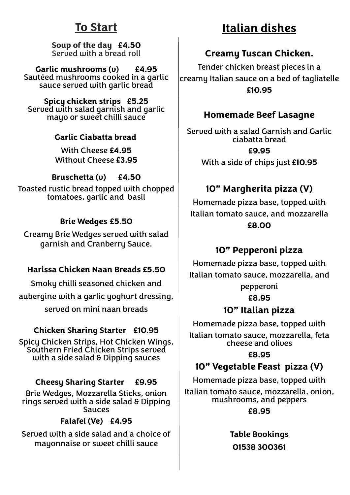## **To Start**

**Soup of the day £4.50** Served with a bread roll

**Garlic mushrooms (v) £4.95** Sautéed mushrooms cooked in a garlic sauce served with garlic bread

**Spicy chicken strips £5.25** Served with salad garnish and garlic mayo or sweet chilli sauce

#### **Garlic Ciabatta bread**

With Cheese **£4.95** Without Cheese **£3.95**

**Bruschetta (v) £4.50**

Toasted rustic bread topped with chopped tomatoes, garlic and basil

#### **Brie Wedges £5.50**

Creamy Brie Wedges served with salad garnish and Cranberry Sauce.

#### **Harissa Chicken Naan Breads £5.50**

Smoky chilli seasoned chicken and aubergine with a garlic yoghurt dressing, served on mini naan breads

#### **Chicken Sharing Starter £10.95**

Spicy Chicken Strips, Hot Chicken Wings, Southern Fried Chicken Strips served with a side salad & Dipping sauces

#### **Cheesy Sharing Starter £9.95**

Brie Wedges, Mozzarella Sticks, onion rings served with a side salad & Dipping **Sauces** 

**Falafel (Ve) £4.95**

Served with a side salad and a choice of mayonnaise or sweet chilli sauce

# **Italian dishes**

### **Creamy Tuscan Chicken.**

Tender chicken breast pieces in a creamy Italian sauce on a bed of tagliatelle **£10.95**

### **Homemade Beef Lasagne**

Served with a salad Garnish and Garlic ciabatta bread **£9.95**

With a side of chips just **£10.95**

### **10" Margherita pizza (V)**

Homemade pizza base, topped with Italian tomato sauce, and mozzarella **£8.00** 

### **10" Pepperoni pizza**

Homemade pizza base, topped with Italian tomato sauce, mozzarella, and pepperoni

**£8.95**

### **10" Italian pizza**

Homemade pizza base, topped with Italian tomato sauce, mozzarella, feta cheese and olives

**£8.95**

### **10" Vegetable Feast pizza (V)**

Homemade pizza base, topped with

Italian tomato sauce, mozzarella, onion, mushrooms, and peppers **£8.95** 

> **Table Bookings 01538 300361**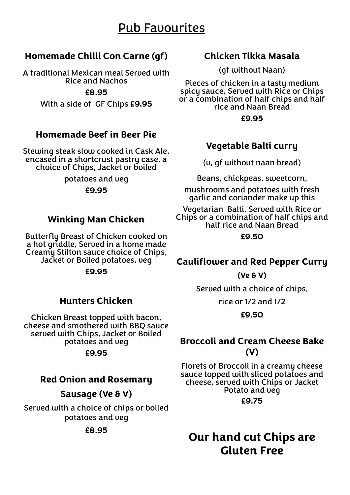# Pub Favourites

### **Homemade Chilli Con Carne (gf)**

A traditional Mexican meal Served with Rice and Nachos

**£8.95**

With a side of GF Chips **£9.95**

### **Homemade Beef in Beer Pie**

Stewing steak slow cooked in Cask Ale, encased in a shortcrust pastry case, a choice of Chips, Jacket or boiled

> potatoes and veg **£9.95**

### **Winking Man Chicken**

Butterfly Breast of Chicken cooked on a hot griddle, Served in a home made Creamy Stilton sauce choice of Chips, Jacket or Boiled potatoes, veg

**£9.95**

### **Hunters Chicken**

Chicken Breast topped with bacon, cheese and smothered with BBQ sauce served with Chips, Jacket or Boiled potatoes and veg

**£9.95**

### **Red Onion and Rosemary**

**Sausage (Ve & V)**

Served with a choice of chips or boiled potatoes and veg

**£8.95**

### **Chicken Tikka Masala**

(gf without Naan)

Pieces of chicken in a tasty medium spicy sauce, Served with Rice or Chips or a combination of half chips and half rice and Naan Bread

**£9.95**

### **Vegetable Balti curry**

(v, gf without naan bread)

Beans, chickpeas, sweetcorn,

mushrooms and potatoes with fresh garlic and coriander make up this

Vegetarian Balti, Served with Rice or Chips or a combination of half chips and half rice and Naan Bread

**£9.50**

### **Cauliflower and Red Pepper Curry**

**(Ve & V)**

Served with a choice of chips,

rice or 1/2 and 1/2

**£9.50**

#### **Broccoli and Cream Cheese Bake (V)**

Florets of Broccoli in a creamy cheese sauce topped with sliced potatoes and cheese, served with Chips or Jacket Potato and veg **£9.75**

## **Our hand cut Chips are Gluten Free**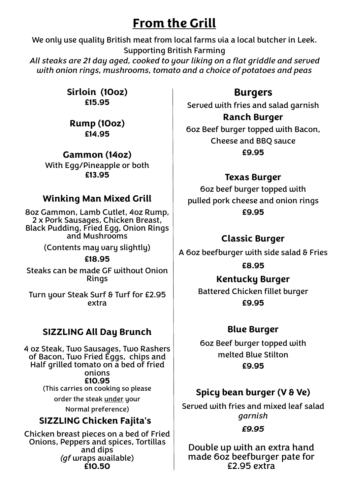# **From the Grill**

We only use quality British meat from local farms via a local butcher in Leek. Supporting British Farming *All steaks are 21 day aged, cooked to your liking on a flat griddle and served* 

*with onion rings, mushrooms, tomato and a choice of potatoes and peas*

**Sirloin (10oz) £15.95** 

**Rump (10oz) £14.95**

**Gammon (14oz)**  With Egg/Pineapple or both **£13.95**

### **Winking Man Mixed Grill**

8oz Gammon, Lamb Cutlet, 4oz Rump, 2 x Pork Sausages, Chicken Breast, Black Pudding, Fried Egg, Onion Rings and Mushrooms

(Contents may vary slightly)

#### **£18.95**

Steaks can be made GF without Onion Rings

Turn your Steak Surf & Turf for £2.95 extra

### **SIZZLING All Day Brunch**

4 oz Steak, Two Sausages, Two Rashers of Bacon, Two Fried Eggs, chips and Half grilled tomato on a bed of fried onions **£10.95**

(This carries on cooking so please

order the steak under your

Normal preference)

### **SIZZLING Chicken Fajita's**

Chicken breast pieces on a bed of Fried Onions, Peppers and spices, Tortillas and dips *(gf* wraps available) **£10.50**

### **Burgers**

Served with fries and salad garnish

### **Ranch Burger**

6oz Beef burger topped with Bacon, Cheese and BBQ sauce **£9.95**

### **Texas Burger**

6oz beef burger topped with pulled pork cheese and onion rings **£9.95**

### **Classic Burger**

A 6oz beefburger with side salad & Fries

**£8.95**

### **Kentucky Burger**

Battered Chicken fillet burger **£9.95**

### **Blue Burger**

6oz Beef burger topped with melted Blue Stilton **£9.95**

### **Spicy bean burger (V & Ve)**

Served with fries and mixed leaf salad *garnish*

#### *£9.95*

Double up with an extra hand made 6oz beefburger pate for £2.95 extra